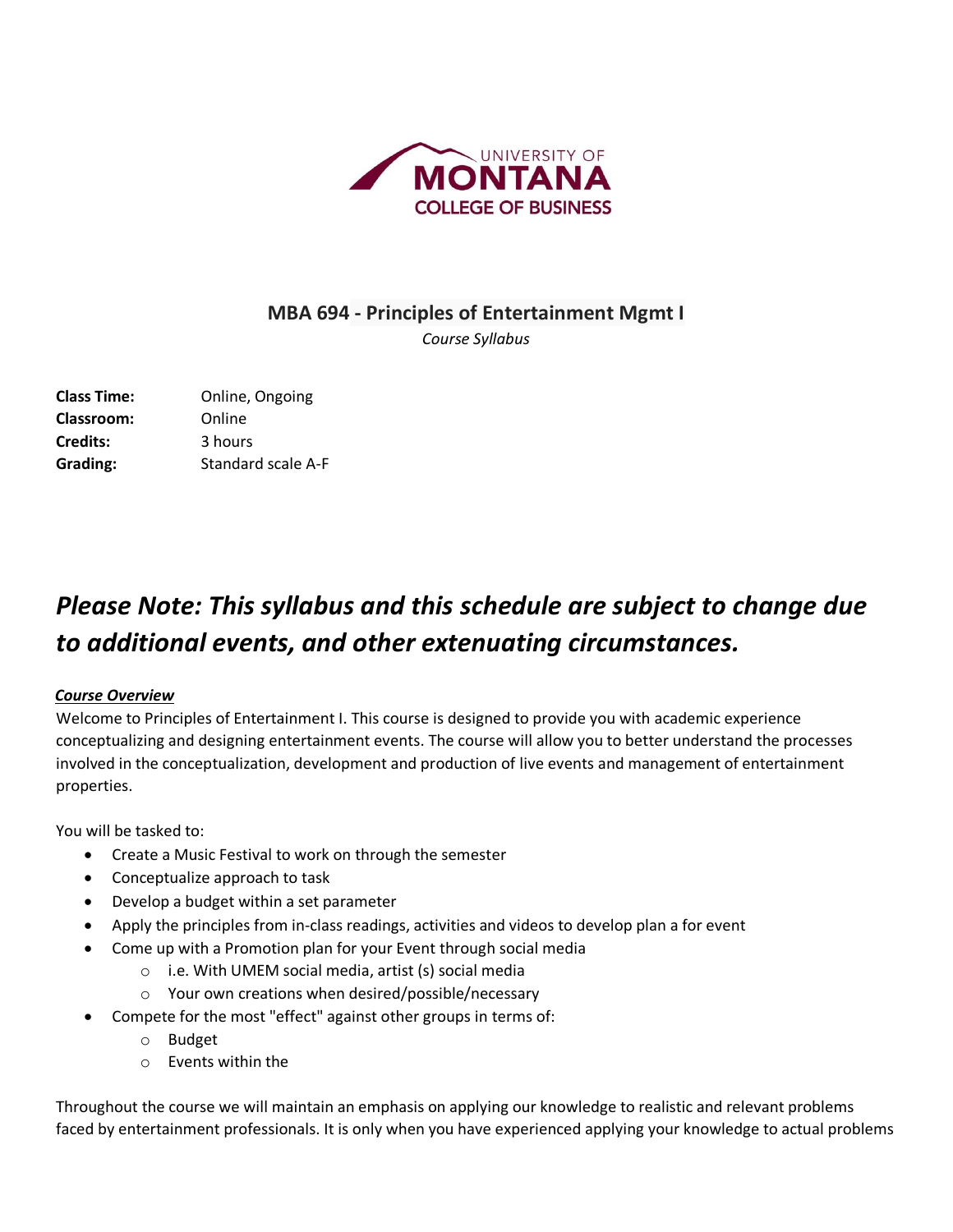

### **MBA 694 - Principles of Entertainment Mgmt I**

*Course Syllabus* 

**Class Time:** Online, Ongoing **Classroom:** Online **Credits:** 3 hours **Grading:** Standard scale A-F

# *Please Note: This syllabus and this schedule are subject to change due to additional events, and other extenuating circumstances.*

### *Course Overview*

Welcome to Principles of Entertainment I. This course is designed to provide you with academic experience conceptualizing and designing entertainment events. The course will allow you to better understand the processes involved in the conceptualization, development and production of live events and management of entertainment properties.

You will be tasked to:

- Create a Music Festival to work on through the semester
- Conceptualize approach to task
- Develop a budget within a set parameter
- Apply the principles from in-class readings, activities and videos to develop plan a for event
	- Come up with a Promotion plan for your Event through social media
		- o i.e. With UMEM social media, artist (s) social media
		- o Your own creations when desired/possible/necessary
- Compete for the most "effect" against other groups in terms of:
	- o Budget
	- o Events within the

Throughout the course we will maintain an emphasis on applying our knowledge to realistic and relevant problems faced by entertainment professionals. It is only when you have experienced applying your knowledge to actual problems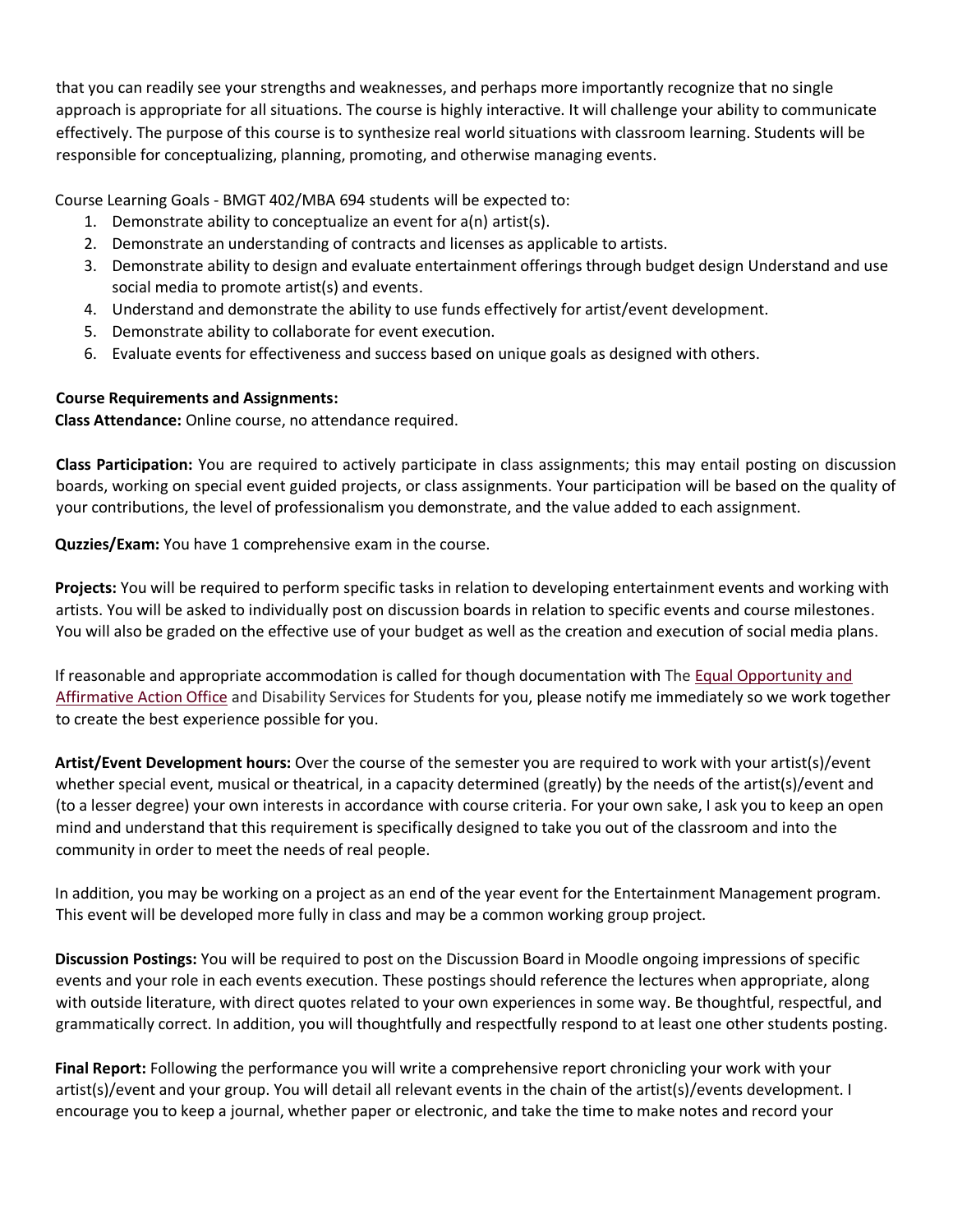that you can readily see your strengths and weaknesses, and perhaps more importantly recognize that no single approach is appropriate for all situations. The course is highly interactive. It will challenge your ability to communicate effectively. The purpose of this course is to synthesize real world situations with classroom learning. Students will be responsible for conceptualizing, planning, promoting, and otherwise managing events.

Course Learning Goals - BMGT 402/MBA 694 students will be expected to:

- 1. Demonstrate ability to conceptualize an event for  $a(n)$  artist(s).
- 2. Demonstrate an understanding of contracts and licenses as applicable to artists.
- 3. Demonstrate ability to design and evaluate entertainment offerings through budget design Understand and use social media to promote artist(s) and events.
- 4. Understand and demonstrate the ability to use funds effectively for artist/event development.
- 5. Demonstrate ability to collaborate for event execution.
- 6. Evaluate events for effectiveness and success based on unique goals as designed with others.

### **Course Requirements and Assignments:**

**Class Attendance:** Online course, no attendance required.

**Class Participation:** You are required to actively participate in class assignments; this may entail posting on discussion boards, working on special event guided projects, or class assignments. Your participation will be based on the quality of your contributions, the level of professionalism you demonstrate, and the value added to each assignment.

**Quzzies/Exam:** You have 1 comprehensive exam in the course.

**Projects:** You will be required to perform specific tasks in relation to developing entertainment events and working with artists. You will be asked to individually post on discussion boards in relation to specific events and course milestones. You will also be graded on the effective use of your budget as well as the creation and execution of social media plans.

If reasonable and appropriate accommodation is called for though documentation with The [Equal Opportunity and](http://www.umt.edu/eo)  [Affirmative Action Office](http://www.umt.edu/eo) and Disability Services for Students for you, please notify me immediately so we work together to create the best experience possible for you.

**Artist/Event Development hours:** Over the course of the semester you are required to work with your artist(s)/event whether special event, musical or theatrical, in a capacity determined (greatly) by the needs of the artist(s)/event and (to a lesser degree) your own interests in accordance with course criteria. For your own sake, I ask you to keep an open mind and understand that this requirement is specifically designed to take you out of the classroom and into the community in order to meet the needs of real people.

In addition, you may be working on a project as an end of the year event for the Entertainment Management program. This event will be developed more fully in class and may be a common working group project.

**Discussion Postings:** You will be required to post on the Discussion Board in Moodle ongoing impressions of specific events and your role in each events execution. These postings should reference the lectures when appropriate, along with outside literature, with direct quotes related to your own experiences in some way. Be thoughtful, respectful, and grammatically correct. In addition, you will thoughtfully and respectfully respond to at least one other students posting.

**Final Report:** Following the performance you will write a comprehensive report chronicling your work with your artist(s)/event and your group. You will detail all relevant events in the chain of the artist(s)/events development. I encourage you to keep a journal, whether paper or electronic, and take the time to make notes and record your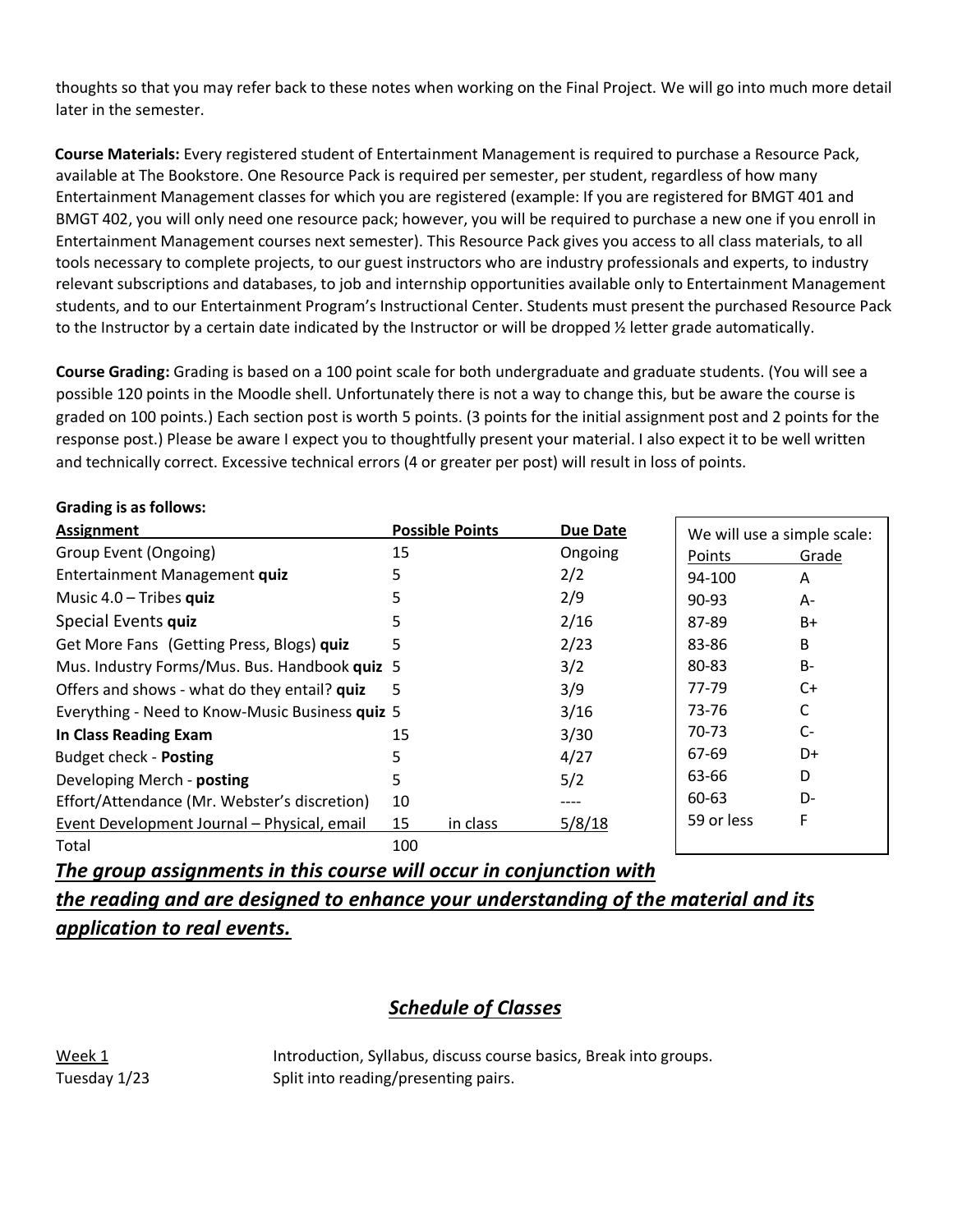thoughts so that you may refer back to these notes when working on the Final Project. We will go into much more detail later in the semester.

**Course Materials:** Every registered student of Entertainment Management is required to purchase a Resource Pack, available at The Bookstore. One Resource Pack is required per semester, per student, regardless of how many Entertainment Management classes for which you are registered (example: If you are registered for BMGT 401 and BMGT 402, you will only need one resource pack; however, you will be required to purchase a new one if you enroll in Entertainment Management courses next semester). This Resource Pack gives you access to all class materials, to all tools necessary to complete projects, to our guest instructors who are industry professionals and experts, to industry relevant subscriptions and databases, to job and internship opportunities available only to Entertainment Management students, and to our Entertainment Program's Instructional Center. Students must present the purchased Resource Pack to the Instructor by a certain date indicated by the Instructor or will be dropped ½ letter grade automatically.

**Course Grading:** Grading is based on a 100 point scale for both undergraduate and graduate students. (You will see a possible 120 points in the Moodle shell. Unfortunately there is not a way to change this, but be aware the course is graded on 100 points.) Each section post is worth 5 points. (3 points for the initial assignment post and 2 points for the response post.) Please be aware I expect you to thoughtfully present your material. I also expect it to be well written and technically correct. Excessive technical errors (4 or greater per post) will result in loss of points.

| <b>Assignment</b>                               | <b>Possible Points</b> |          | <b>Due Date</b> | We will use a simple scale: |       |
|-------------------------------------------------|------------------------|----------|-----------------|-----------------------------|-------|
| Group Event (Ongoing)                           | 15                     |          | Ongoing         | Points                      | Grade |
| Entertainment Management quiz                   | 5                      |          | 2/2             | 94-100                      | A     |
| Music $4.0$ – Tribes quiz                       | 5                      |          | 2/9             | 90-93                       | $A -$ |
| Special Events quiz                             | 5                      |          | 2/16            | 87-89                       | B+    |
| Get More Fans (Getting Press, Blogs) quiz       | 5                      |          | 2/23            | 83-86                       | B     |
| Mus. Industry Forms/Mus. Bus. Handbook quiz 5   |                        |          | 3/2             | 80-83                       | $B -$ |
| Offers and shows - what do they entail? quiz    | 5                      |          | 3/9             | 77-79                       | C+    |
| Everything - Need to Know-Music Business quiz 5 |                        |          | 3/16            | 73-76                       |       |
| In Class Reading Exam                           | 15                     |          | 3/30            | 70-73                       | $C-$  |
| <b>Budget check - Posting</b>                   |                        |          | 4/27            | 67-69                       | D+    |
| Developing Merch - posting                      | 5                      |          | 5/2             | 63-66                       | D     |
| Effort/Attendance (Mr. Webster's discretion)    | 10                     |          | ----            | 60-63                       | D-    |
| Event Development Journal - Physical, email     | 15                     | in class | 5/8/18          | 59 or less                  | F     |
| Total                                           | 100                    |          |                 |                             |       |

*The group assignments in this course will occur in conjunction with* 

*the reading and are designed to enhance your understanding of the material and its application to real events.*

## *Schedule of Classes*

Week 1 Tuesday 1/23

**Grading is as follows:**

Introduction, Syllabus, discuss course basics, Break into groups. Split into reading/presenting pairs.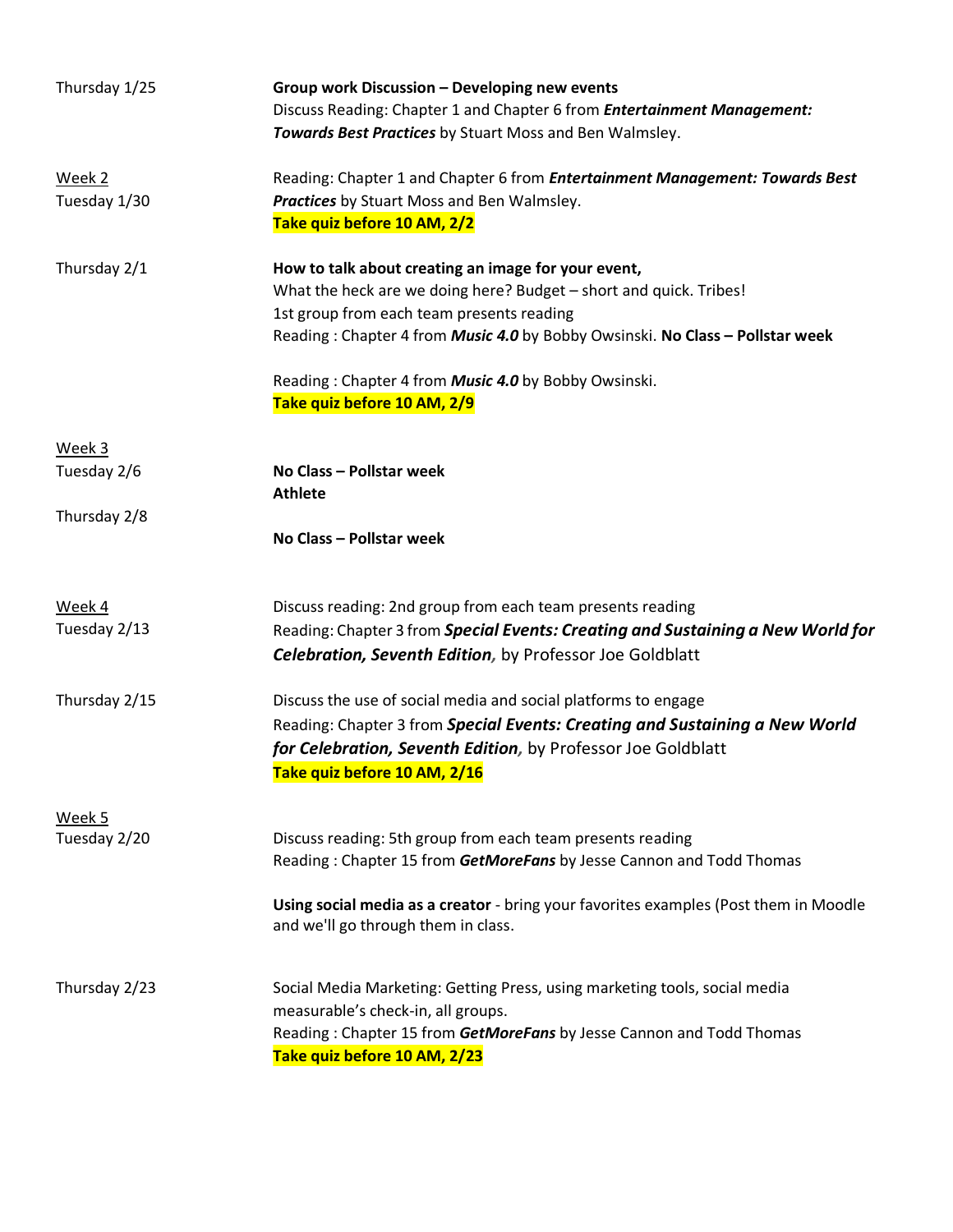| Thursday 1/25          | Group work Discussion - Developing new events<br>Discuss Reading: Chapter 1 and Chapter 6 from Entertainment Management:<br>Towards Best Practices by Stuart Moss and Ben Walmsley.                                                                     |
|------------------------|---------------------------------------------------------------------------------------------------------------------------------------------------------------------------------------------------------------------------------------------------------|
| Week 2<br>Tuesday 1/30 | Reading: Chapter 1 and Chapter 6 from Entertainment Management: Towards Best<br>Practices by Stuart Moss and Ben Walmsley.<br>Take quiz before 10 AM, 2/2                                                                                               |
| Thursday 2/1           | How to talk about creating an image for your event,<br>What the heck are we doing here? Budget - short and quick. Tribes!<br>1st group from each team presents reading<br>Reading: Chapter 4 from Music 4.0 by Bobby Owsinski. No Class - Pollstar week |
|                        | Reading: Chapter 4 from <b>Music 4.0</b> by Bobby Owsinski.<br>Take quiz before 10 AM, 2/9                                                                                                                                                              |
| Week 3<br>Tuesday 2/6  | No Class - Pollstar week                                                                                                                                                                                                                                |
|                        | <b>Athlete</b>                                                                                                                                                                                                                                          |
| Thursday 2/8           | No Class - Pollstar week                                                                                                                                                                                                                                |
| Week 4                 | Discuss reading: 2nd group from each team presents reading                                                                                                                                                                                              |
| Tuesday 2/13           | Reading: Chapter 3 from Special Events: Creating and Sustaining a New World for<br><b>Celebration, Seventh Edition, by Professor Joe Goldblatt</b>                                                                                                      |
| Thursday 2/15          | Discuss the use of social media and social platforms to engage<br>Reading: Chapter 3 from Special Events: Creating and Sustaining a New World<br>for Celebration, Seventh Edition, by Professor Joe Goldblatt<br>Take quiz before 10 AM, 2/16           |
| Week 5                 |                                                                                                                                                                                                                                                         |
| Tuesday 2/20           | Discuss reading: 5th group from each team presents reading<br>Reading: Chapter 15 from GetMoreFans by Jesse Cannon and Todd Thomas                                                                                                                      |
|                        | Using social media as a creator - bring your favorites examples (Post them in Moodle<br>and we'll go through them in class.                                                                                                                             |
| Thursday 2/23          | Social Media Marketing: Getting Press, using marketing tools, social media<br>measurable's check-in, all groups.<br>Reading: Chapter 15 from GetMoreFans by Jesse Cannon and Todd Thomas<br>Take quiz before 10 AM, 2/23                                |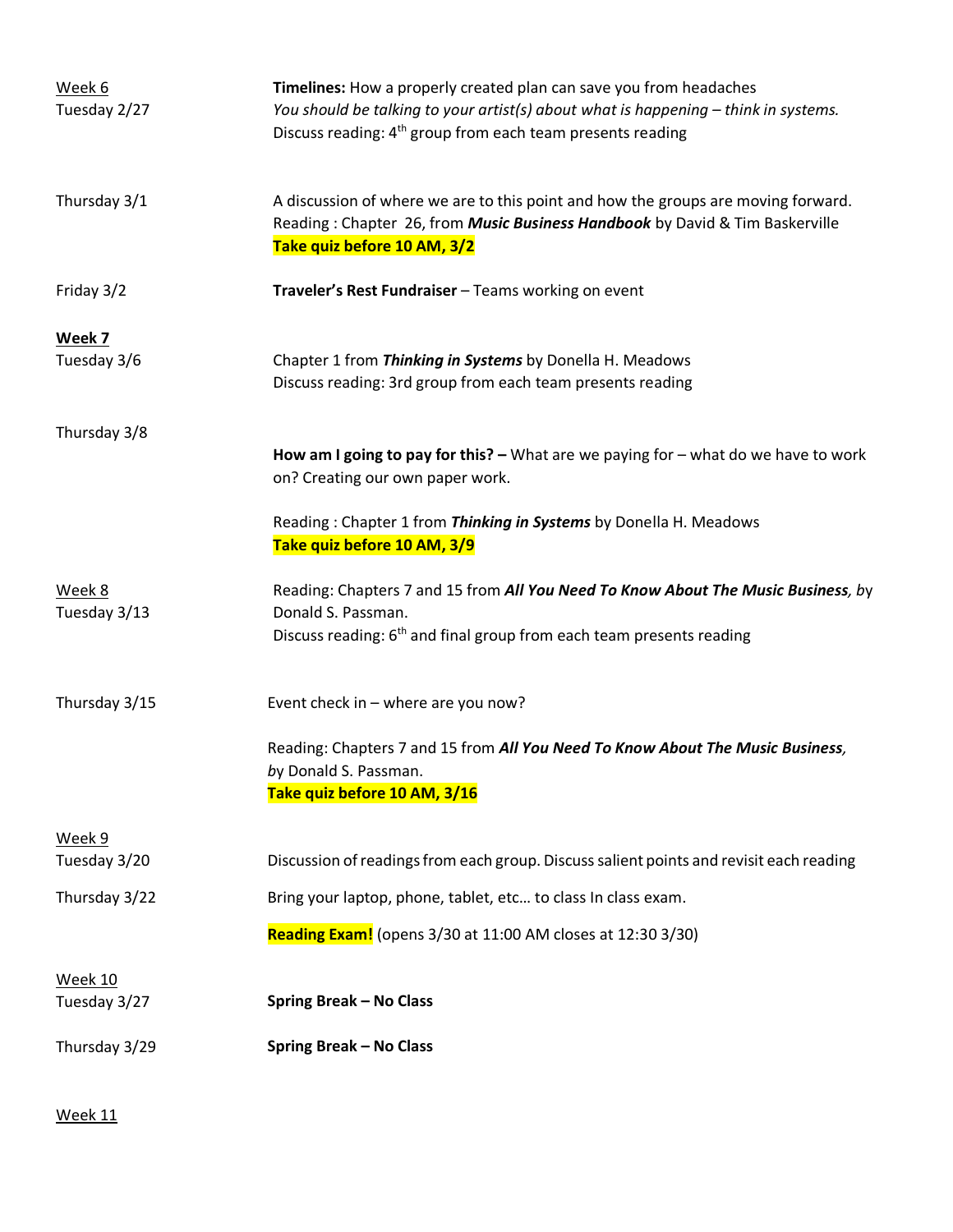| Week 6<br>Tuesday 2/27  | Timelines: How a properly created plan can save you from headaches<br>You should be talking to your artist(s) about what is happening - think in systems.<br>Discuss reading: 4 <sup>th</sup> group from each team presents reading |
|-------------------------|-------------------------------------------------------------------------------------------------------------------------------------------------------------------------------------------------------------------------------------|
| Thursday 3/1            | A discussion of where we are to this point and how the groups are moving forward.<br>Reading: Chapter 26, from Music Business Handbook by David & Tim Baskerville<br>Take quiz before 10 AM, 3/2                                    |
| Friday 3/2              | Traveler's Rest Fundraiser - Teams working on event                                                                                                                                                                                 |
| Week 7<br>Tuesday 3/6   | Chapter 1 from Thinking in Systems by Donella H. Meadows<br>Discuss reading: 3rd group from each team presents reading                                                                                                              |
| Thursday 3/8            | How am I going to pay for this? $-$ What are we paying for $-$ what do we have to work<br>on? Creating our own paper work.                                                                                                          |
|                         | Reading: Chapter 1 from Thinking in Systems by Donella H. Meadows<br>Take quiz before 10 AM, 3/9                                                                                                                                    |
| Week 8<br>Tuesday 3/13  | Reading: Chapters 7 and 15 from All You Need To Know About The Music Business, by<br>Donald S. Passman.<br>Discuss reading: 6 <sup>th</sup> and final group from each team presents reading                                         |
| Thursday 3/15           | Event check in - where are you now?                                                                                                                                                                                                 |
|                         | Reading: Chapters 7 and 15 from All You Need To Know About The Music Business,<br>by Donald S. Passman.<br>Take quiz before 10 AM, 3/16                                                                                             |
| Week 9<br>Tuesday 3/20  | Discussion of readings from each group. Discuss salient points and revisit each reading                                                                                                                                             |
| Thursday 3/22           | Bring your laptop, phone, tablet, etc to class In class exam.                                                                                                                                                                       |
|                         | Reading Exam! (opens 3/30 at 11:00 AM closes at 12:30 3/30)                                                                                                                                                                         |
| Week 10<br>Tuesday 3/27 | <b>Spring Break - No Class</b>                                                                                                                                                                                                      |
| Thursday 3/29           | <b>Spring Break - No Class</b>                                                                                                                                                                                                      |

Week 11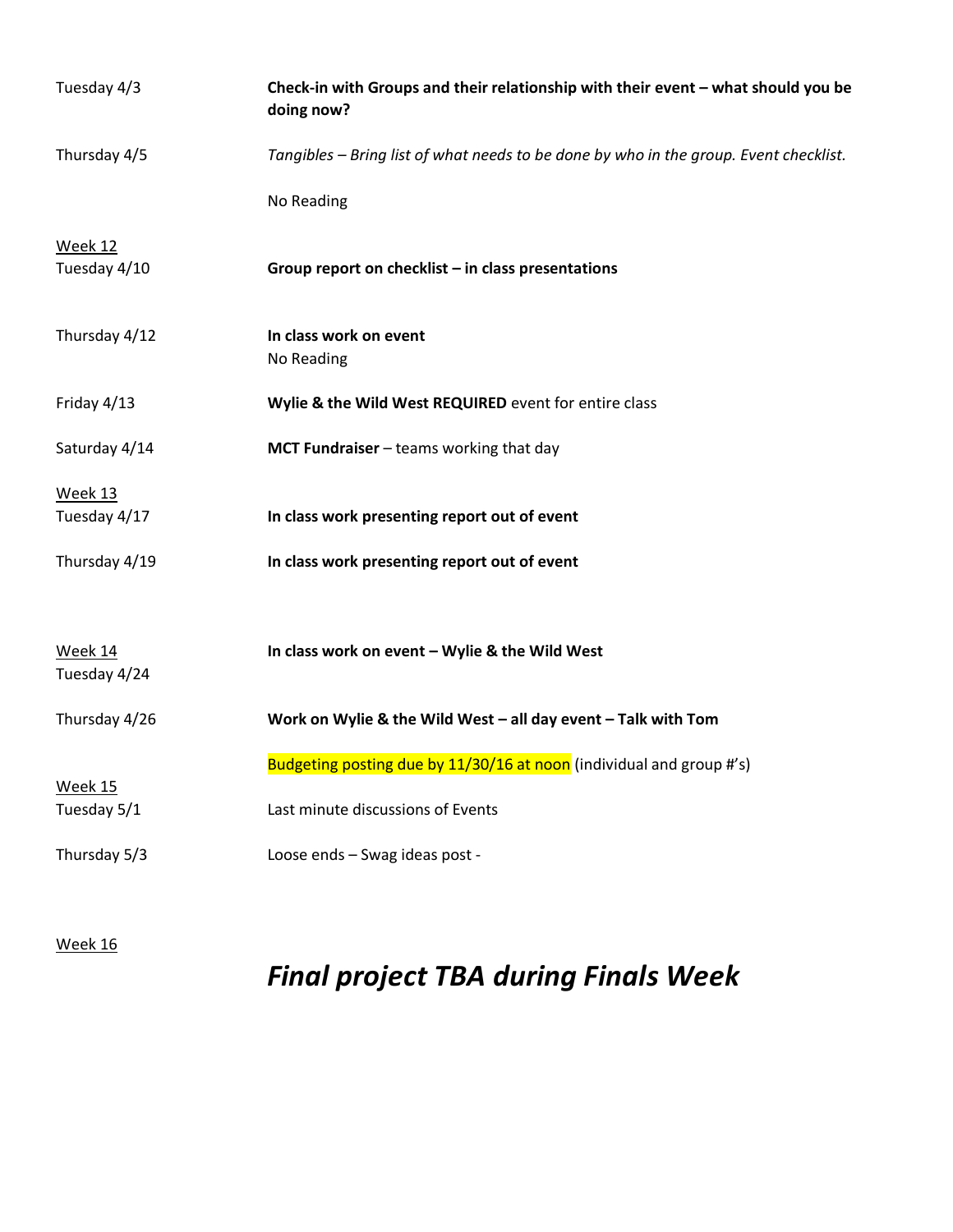| Check-in with Groups and their relationship with their event - what should you be<br>doing now? |
|-------------------------------------------------------------------------------------------------|
| Tangibles - Bring list of what needs to be done by who in the group. Event checklist.           |
| No Reading                                                                                      |
| Group report on checklist $-$ in class presentations                                            |
| In class work on event<br>No Reading                                                            |
| Wylie & the Wild West REQUIRED event for entire class                                           |
| MCT Fundraiser - teams working that day                                                         |
| In class work presenting report out of event                                                    |
| In class work presenting report out of event                                                    |
| In class work on event - Wylie & the Wild West                                                  |
| Work on Wylie & the Wild West $-$ all day event $-$ Talk with Tom                               |
| Budgeting posting due by 11/30/16 at noon (individual and group #'s)                            |
| Last minute discussions of Events                                                               |
| Loose ends - Swag ideas post -                                                                  |
|                                                                                                 |

Week 16

# *Final project TBA during Finals Week*